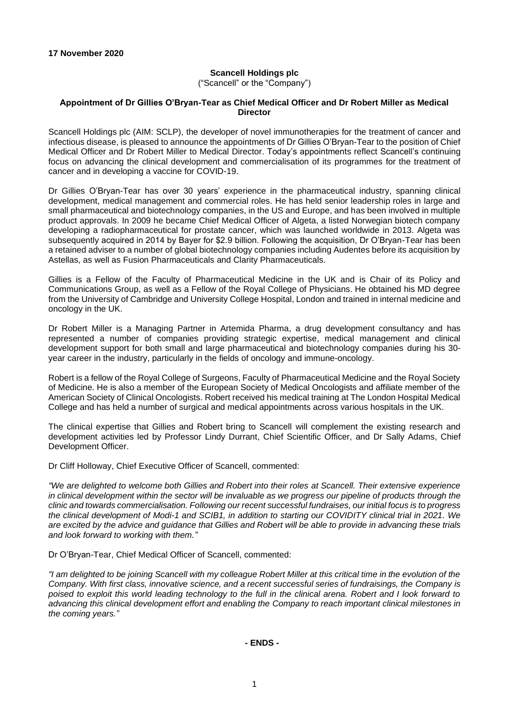## **Scancell Holdings plc**

("Scancell" or the "Company")

## **Appointment of Dr Gillies O'Bryan-Tear as Chief Medical Officer and Dr Robert Miller as Medical Director**

Scancell Holdings plc (AIM: SCLP), the developer of novel immunotherapies for the treatment of cancer and infectious disease, is pleased to announce the appointments of Dr Gillies O'Bryan-Tear to the position of Chief Medical Officer and Dr Robert Miller to Medical Director. Today's appointments reflect Scancell's continuing focus on advancing the clinical development and commercialisation of its programmes for the treatment of cancer and in developing a vaccine for COVID-19.

Dr Gillies O'Bryan-Tear has over 30 years' experience in the pharmaceutical industry, spanning clinical development, medical management and commercial roles. He has held senior leadership roles in large and small pharmaceutical and biotechnology companies, in the US and Europe, and has been involved in multiple product approvals. In 2009 he became Chief Medical Officer of Algeta, a listed Norwegian biotech company developing a radiopharmaceutical for prostate cancer, which was launched worldwide in 2013. Algeta was subsequently acquired in 2014 by Bayer for \$2.9 billion. Following the acquisition, Dr O'Bryan-Tear has been a retained adviser to a number of global biotechnology companies including Audentes before its acquisition by Astellas, as well as Fusion Pharmaceuticals and Clarity Pharmaceuticals.

Gillies is a Fellow of the Faculty of Pharmaceutical Medicine in the UK and is Chair of its Policy and Communications Group, as well as a Fellow of the Royal College of Physicians. He obtained his MD degree from the University of Cambridge and University College Hospital, London and trained in internal medicine and oncology in the UK.

Dr Robert Miller is a Managing Partner in Artemida Pharma, a drug development consultancy and has represented a number of companies providing strategic expertise, medical management and clinical development support for both small and large pharmaceutical and biotechnology companies during his 30 year career in the industry, particularly in the fields of oncology and immune-oncology.

Robert is a fellow of the Royal College of Surgeons, Faculty of Pharmaceutical Medicine and the Royal Society of Medicine. He is also a member of the European Society of Medical Oncologists and affiliate member of the American Society of Clinical Oncologists. Robert received his medical training at The London Hospital Medical College and has held a number of surgical and medical appointments across various hospitals in the UK.

The clinical expertise that Gillies and Robert bring to Scancell will complement the existing research and development activities led by Professor Lindy Durrant, Chief Scientific Officer, and Dr Sally Adams, Chief Development Officer.

Dr Cliff Holloway, Chief Executive Officer of Scancell, commented:

*"We are delighted to welcome both Gillies and Robert into their roles at Scancell. Their extensive experience in clinical development within the sector will be invaluable as we progress our pipeline of products through the clinic and towards commercialisation. Following our recent successful fundraises, our initial focus is to progress the clinical development of Modi-1 and SCIB1, in addition to starting our COVIDITY clinical trial in 2021. We are excited by the advice and guidance that Gillies and Robert will be able to provide in advancing these trials and look forward to working with them."*

Dr O'Bryan-Tear, Chief Medical Officer of Scancell, commented:

*"I am delighted to be joining Scancell with my colleague Robert Miller at this critical time in the evolution of the Company. With first class, innovative science, and a recent successful series of fundraisings, the Company is poised to exploit this world leading technology to the full in the clinical arena. Robert and I look forward to advancing this clinical development effort and enabling the Company to reach important clinical milestones in the coming years."*

**- ENDS -**